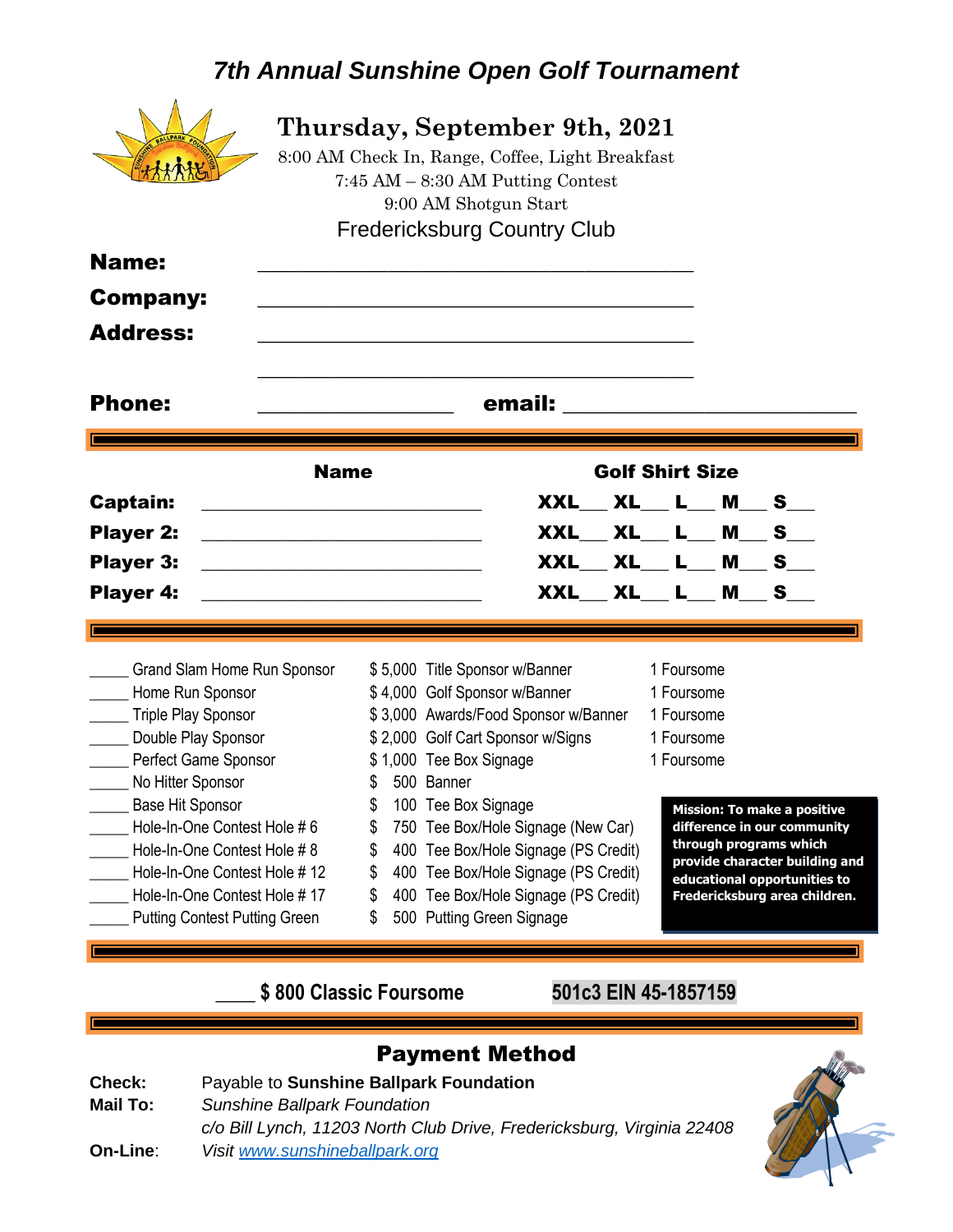## *7th Annual Sunshine Open Golf Tournament*

| <b>Name:</b><br><b>Company:</b>                                                                                                           |          | Thursday, September 9th, 2021<br>8:00 AM Check In, Range, Coffee, Light Breakfast<br>$7:45$ AM $-8:30$ AM Putting Contest<br>9:00 AM Shotgun Start<br><b>Fredericksburg Country Club</b> |  |                        |   |                                                                                                                                                                                                                                |
|-------------------------------------------------------------------------------------------------------------------------------------------|----------|------------------------------------------------------------------------------------------------------------------------------------------------------------------------------------------|--|------------------------|---|--------------------------------------------------------------------------------------------------------------------------------------------------------------------------------------------------------------------------------|
| <b>Address:</b><br><b>Phone:</b>                                                                                                          |          | email:                                                                                                                                                                                   |  |                        |   |                                                                                                                                                                                                                                |
| <b>Name</b>                                                                                                                               |          |                                                                                                                                                                                          |  | <b>Golf Shirt Size</b> |   |                                                                                                                                                                                                                                |
| <b>Captain:</b>                                                                                                                           |          | XXL                                                                                                                                                                                      |  | XL L M                 |   | S and the set of the set of the set of the set of the set of the set of the set of the set of the set of the set of the set of the set of the set of the set of the set of the set of the set of the set of the set of the set |
| <b>Player 2:</b><br><u> 1980 - Jan James Barnett, fransk politik (d. 1980)</u>                                                            |          |                                                                                                                                                                                          |  | XXL XL L               | M | <b>S</b>                                                                                                                                                                                                                       |
| <b>Player 3:</b><br><u> 1990 - Johann John Stone, mars eta industrial eta industrial eta industrial eta industrial eta industrial eta</u> |          | XXL XL L M                                                                                                                                                                               |  |                        |   | $s_{-}$                                                                                                                                                                                                                        |
| Player 4:                                                                                                                                 |          |                                                                                                                                                                                          |  | XXL XL L M             |   | <b>S</b>                                                                                                                                                                                                                       |
| Grand Slam Home Run Sponsor                                                                                                               |          | \$5,000 Title Sponsor w/Banner                                                                                                                                                           |  | 1 Foursome             |   |                                                                                                                                                                                                                                |
| Home Run Sponsor                                                                                                                          |          | \$4,000 Golf Sponsor w/Banner<br>1 Foursome                                                                                                                                              |  |                        |   |                                                                                                                                                                                                                                |
| <b>Triple Play Sponsor</b>                                                                                                                |          | \$3,000 Awards/Food Sponsor w/Banner<br>1 Foursome                                                                                                                                       |  |                        |   |                                                                                                                                                                                                                                |
| ____ Double Play Sponsor                                                                                                                  |          | \$2,000 Golf Cart Sponsor w/Signs<br>1 Foursome                                                                                                                                          |  |                        |   |                                                                                                                                                                                                                                |
| Perfect Game Sponsor<br>No Hitter Sponsor                                                                                                 | \$       | \$1,000 Tee Box Signage<br>500 Banner                                                                                                                                                    |  | 1 Foursome             |   |                                                                                                                                                                                                                                |
| Base Hit Sponsor                                                                                                                          | Φ        | 100 Tee Box Signage                                                                                                                                                                      |  |                        |   | <b>Mission: To make a positive</b>                                                                                                                                                                                             |
| Hole-In-One Contest Hole # 6                                                                                                              | \$       | 750 Tee Box/Hole Signage (New Car)                                                                                                                                                       |  |                        |   | difference in our community                                                                                                                                                                                                    |
| Hole-In-One Contest Hole #8                                                                                                               | \$       | 400 Tee Box/Hole Signage (PS Credit)                                                                                                                                                     |  |                        |   | through programs which<br>provide character building and                                                                                                                                                                       |
| Hole-In-One Contest Hole #12                                                                                                              | \$       | 400 Tee Box/Hole Signage (PS Credit)                                                                                                                                                     |  |                        |   | educational opportunities to                                                                                                                                                                                                   |
| Hole-In-One Contest Hole #17<br><b>Putting Contest Putting Green</b>                                                                      | \$<br>\$ | 400 Tee Box/Hole Signage (PS Credit)<br>500 Putting Green Signage                                                                                                                        |  |                        |   | Fredericksburg area children.                                                                                                                                                                                                  |
|                                                                                                                                           |          |                                                                                                                                                                                          |  |                        |   |                                                                                                                                                                                                                                |

## **\_\_\_\_ \$ 800 Classic Foursome 501c3 EIN 45-1857159**